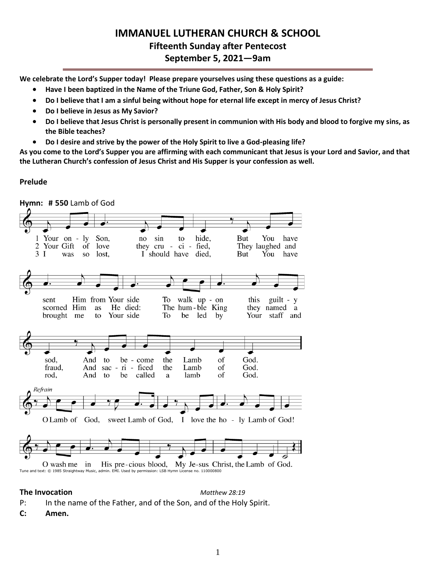## **IMMANUEL LUTHERAN CHURCH & SCHOOL Fifteenth Sunday after Pentecost September 5, 2021—9am**

**We celebrate the Lord's Supper today! Please prepare yourselves using these questions as a guide:**

- **Have I been baptized in the Name of the Triune God, Father, Son & Holy Spirit?**
- **Do I believe that I am a sinful being without hope for eternal life except in mercy of Jesus Christ?**
- **Do I believe in Jesus as My Savior?**
- **Do I believe that Jesus Christ is personally present in communion with His body and blood to forgive my sins, as the Bible teaches?**
- **Do I desire and strive by the power of the Holy Spirit to live a God-pleasing life?**

**As you come to the Lord's Supper you are affirming with each communicant that Jesus is your Lord and Savior, and that the Lutheran Church's confession of Jesus Christ and His Supper is your confession as well.**

#### **Prelude**



## **The Invocation** *Matthew 28:19*

- P: In the name of the Father, and of the Son, and of the Holy Spirit.
- **C: Amen.**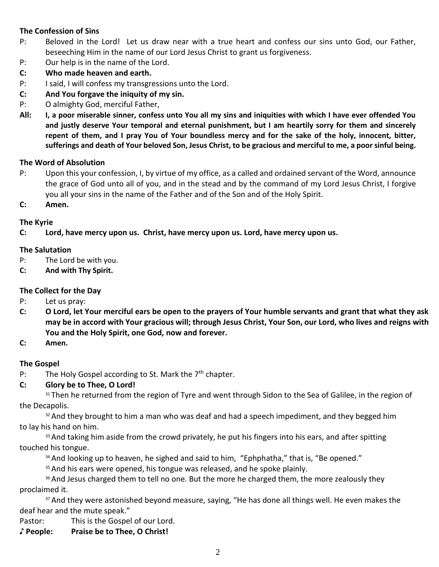## **The Confession of Sins**

- P: Beloved in the Lord! Let us draw near with a true heart and confess our sins unto God, our Father, beseeching Him in the name of our Lord Jesus Christ to grant us forgiveness.
- P: Our help is in the name of the Lord.
- **C: Who made heaven and earth.**
- P: I said, I will confess my transgressions unto the Lord.
- **C: And You forgave the iniquity of my sin.**
- P: O almighty God, merciful Father,
- **All: I, a poor miserable sinner, confess unto You all my sins and iniquities with which I have ever offended You and justly deserve Your temporal and eternal punishment, but I am heartily sorry for them and sincerely repent of them, and I pray You of Your boundless mercy and for the sake of the holy, innocent, bitter, sufferings and death of Your beloved Son, Jesus Christ, to be gracious and merciful to me, a poor sinful being.**

#### **The Word of Absolution**

- P: Upon this your confession, I, by virtue of my office, as a called and ordained servant of the Word, announce the grace of God unto all of you, and in the stead and by the command of my Lord Jesus Christ, I forgive you all your sins in the name of the Father and of the Son and of the Holy Spirit.
- **C: Amen.**

#### **The Kyrie**

## **C: Lord, have mercy upon us. Christ, have mercy upon us. Lord, have mercy upon us.**

#### **The Salutation**

- P: The Lord be with you.
- **C: And with Thy Spirit.**

## **The Collect for the Day**

- P: Let us pray:
- **C: O Lord, let Your merciful ears be open to the prayers of Your humble servants and grant that what they ask may be in accord with Your gracious will; through Jesus Christ, Your Son, our Lord, who lives and reigns with You and the Holy Spirit, one God, now and forever.**
- **C: Amen.**

## **The Gospel**

P: The Holy Gospel according to St. Mark the  $7<sup>th</sup>$  chapter.

## **C: Glory be to Thee, O Lord!**

<sup>31</sup> Then he returned from the region of Tyre and went through Sidon to the Sea of Galilee, in the region of the Decapolis.

<sup>32</sup> And they brought to him a man who was deaf and had a speech impediment, and they begged him to lay his hand on him.

<sup>33</sup> And taking him aside from the crowd privately, he put his fingers into his ears, and after spitting touched his tongue.

<sup>34</sup> And looking up to heaven, he sighed and said to him, "Ephphatha," that is, "Be opened."

<sup>35</sup> And his ears were opened, his tongue was released, and he spoke plainly.

<sup>36</sup> And Jesus charged them to tell no one. But the more he charged them, the more zealously they proclaimed it.

<sup>37</sup> And they were astonished beyond measure, saying, "He has done all things well. He even makes the deaf hear and the mute speak."

Pastor: This is the Gospel of our Lord.

**♪ People: Praise be to Thee, O Christ!**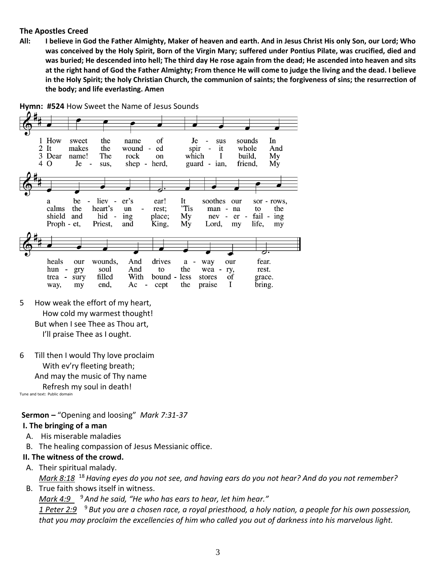#### **The Apostles Creed**

**All: I believe in God the Father Almighty, Maker of heaven and earth. And in Jesus Christ His only Son, our Lord; Who was conceived by the Holy Spirit, Born of the Virgin Mary; suffered under Pontius Pilate, was crucified, died and was buried; He descended into hell; The third day He rose again from the dead; He ascended into heaven and sits at the right hand of God the Father Almighty; From thence He will come to judge the living and the dead. I believe in the Holy Spirit; the holy Christian Church, the communion of saints; the forgiveness of sins; the resurrection of the body; and life everlasting. Amen**





- 5 How weak the effort of my heart, How cold my warmest thought! But when I see Thee as Thou art, I'll praise Thee as I ought.
- 6 Till then I would Thy love proclaim With ev'ry fleeting breath; And may the music of Thy name Refresh my soul in death!

Tune and text: Public domain

**Sermon –** "Opening and loosing" *Mark 7:31-37*

#### **I. The bringing of a man**

- A. His miserable maladies
- B. The healing compassion of Jesus Messianic office.

#### **II. The witness of the crowd.**

A. Their spiritual malady.

*Mark 8:18*  <sup>18</sup>*Having eyes do you not see, and having ears do you not hear? And do you not remember?*

B. True faith shows itself in witness.

*Mark 4:9*  <sup>9</sup> *And he said, "He who has ears to hear, let him hear."*

*1 Peter 2:9*  <sup>9</sup> *But you are a chosen race, a royal priesthood, a holy nation, a people for his own possession, that you may proclaim the excellencies of him who called you out of darkness into his marvelous light.*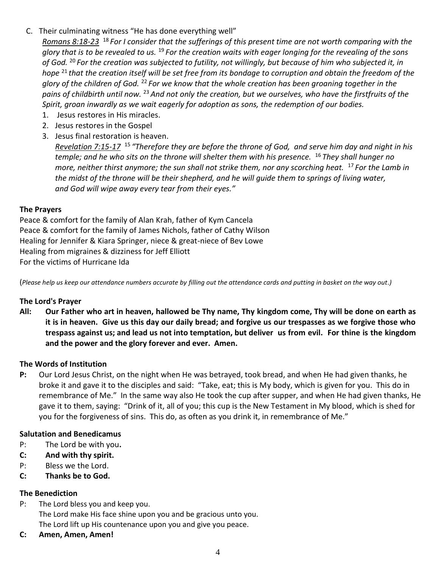C. Their culminating witness "He has done everything well"

*Romans 8:18-23*  <sup>18</sup> *For I consider that the sufferings of this present time are not worth comparing with the glory that is to be revealed to us.* <sup>19</sup> *For the creation waits with eager longing for the revealing of the sons of God.* <sup>20</sup> *For the creation was subjected to futility, not willingly, but because of him who subjected it, in hope* <sup>21</sup> *that the creation itself will be set free from its bondage to corruption and obtain the freedom of the glory of the children of God.* <sup>22</sup> *For we know that the whole creation has been groaning together in the pains of childbirth until now.* <sup>23</sup> *And not only the creation, but we ourselves, who have the firstfruits of the Spirit, groan inwardly as we wait eagerly for adoption as sons, the redemption of our bodies.*

- 1. Jesus restores in His miracles.
- 2. Jesus restores in the Gospel
- 3. Jesus final restoration is heaven.

*Revelation 7:15-17*  <sup>15</sup> *"Therefore they are before the throne of God, and serve him day and night in his temple; and he who sits on the throne will shelter them with his presence.* <sup>16</sup> *They shall hunger no more, neither thirst anymore; the sun shall not strike them, nor any scorching heat.* <sup>17</sup> *For the Lamb in the midst of the throne will be their shepherd, and he will guide them to springs of living water, and God will wipe away every tear from their eyes."*

#### **The Prayers**

Peace & comfort for the family of Alan Krah, father of Kym Cancela Peace & comfort for the family of James Nichols, father of Cathy Wilson Healing for Jennifer & Kiara Springer, niece & great-niece of Bev Lowe Healing from migraines & dizziness for Jeff Elliott For the victims of Hurricane Ida

(*Please help us keep our attendance numbers accurate by filling out the attendance cards and putting in basket on the way out.)*

## **The Lord's Prayer**

**All: Our Father who art in heaven, hallowed be Thy name, Thy kingdom come, Thy will be done on earth as it is in heaven. Give us this day our daily bread; and forgive us our trespasses as we forgive those who trespass against us; and lead us not into temptation, but deliver us from evil. For thine is the kingdom and the power and the glory forever and ever. Amen.**

## **The Words of Institution**

**P:** Our Lord Jesus Christ, on the night when He was betrayed, took bread, and when He had given thanks, he broke it and gave it to the disciples and said: "Take, eat; this is My body, which is given for you. This do in remembrance of Me." In the same way also He took the cup after supper, and when He had given thanks, He gave it to them, saying: "Drink of it, all of you; this cup is the New Testament in My blood, which is shed for you for the forgiveness of sins. This do, as often as you drink it, in remembrance of Me."

#### **Salutation and Benedicamus**

- P: The Lord be with you**.**
- **C: And with thy spirit.**
- P: Bless we the Lord.
- **C: Thanks be to God.**

#### **The Benediction**

- P: The Lord bless you and keep you. The Lord make His face shine upon you and be gracious unto you. The Lord lift up His countenance upon you and give you peace.
- **C: Amen, Amen, Amen!**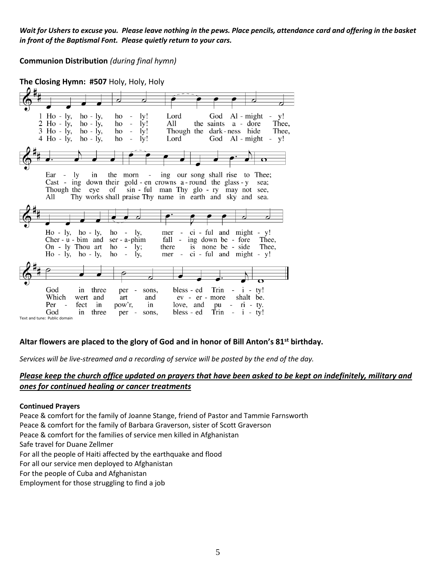*Wait for Ushers to excuse you. Please leave nothing in the pews. Place pencils, attendance card and offering in the basket in front of the Baptismal Font. Please quietly return to your cars.* 

**Communion Distribution** *(during final hymn)*

**The Closing Hymn: #507** Holy, Holy, Holy  $Ho - ly,$ Lord God  $Al - might$ 1  $ho - ly$ , ly! ho v!  $2$  Ho -  $1y$ , Thee,  $ho - ly$ , ho  $\overline{a}$  $1y!$ All the saints a - dore  $3$  Ho -  $1y$ ,  $ho - ly$ , ho  $\blacksquare$ ly! Though the dark-ness hide Thee,  $4$  Ho -  $1y$ ,  $ho - ly$ , ho  $\overline{a}$ ly! Lord God  $Al - might - y!$ Ear ing our song shall rise to Thee; ly. in the morn  $\sim$  $\sim$ Cast - ing down their gold - en crowns  $a$ -round the glass - y sea; Though the eye of sin - ful man Thy glo - ry may not see, Thy works shall praise Thy name in earth and sky and sea. All  $Ho - ly, ho - ly,$ ho  $\sim$ ly, mer  $\sim$  $ci$  - ful and might -  $y!$ Cher -  $u$  -  $b$ im and ser - a-phim fall  $\sim$ ing down be - fore Thee. On - ly Thou art  $ho - ly;$ there is none be - side Thee,  $Ho - ly$ ,  $ho - ly$ , ho  $\overline{\phantom{a}}$ ly, mer  $\sim$  $ci$  - ful and might - y! God in three sons, bless - ed Trin  $\sim$   $$  $i - ty!$ per  $\overline{a}$ Which ev - er - more shalt be. wert and art and Per fect love, and in pow'r, in pu  $ri$   $-$  ty.  $Trin - i - ty!$ God bless - ed  $in$ three per sons, Text and tune: Public domain

#### **Altar flowers are placed to the glory of God and in honor of Bill Anton's 81st birthday.**

*Services will be live-streamed and a recording of service will be posted by the end of the day.*

#### *Please keep the church office updated on prayers that have been asked to be kept on indefinitely, military and ones for continued healing or cancer treatments*

#### **Continued Prayers**

Peace & comfort for the family of Joanne Stange, friend of Pastor and Tammie Farnsworth Peace & comfort for the family of Barbara Graverson, sister of Scott Graverson Peace & comfort for the families of service men killed in Afghanistan Safe travel for Duane Zellmer For all the people of Haiti affected by the earthquake and flood For all our service men deployed to Afghanistan For the people of Cuba and Afghanistan Employment for those struggling to find a job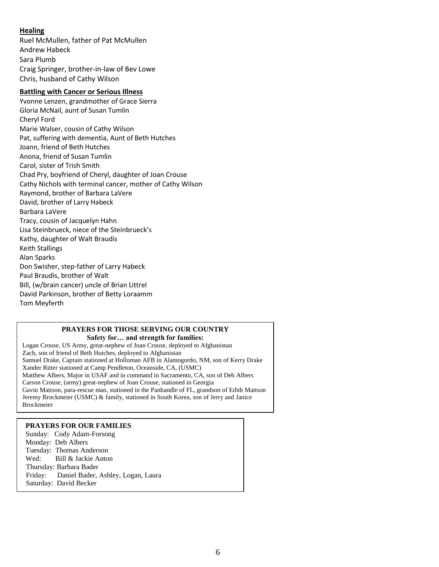#### **Healing**

Ruel McMullen, father of Pat McMullen Andrew Habeck Sara Plumb Craig Springer, brother-in-law of Bev Lowe Chris, husband of Cathy Wilson

#### **Battling with Cancer or Serious Illness**

Yvonne Lenzen, grandmother of Grace Sierra Gloria McNail, aunt of Susan Tumlin Cheryl Ford Marie Walser, cousin of Cathy Wilson Pat, suffering with dementia, Aunt of Beth Hutches Joann, friend of Beth Hutches Anona, friend of Susan Tumlin Carol, sister of Trish Smith Chad Pry, boyfriend of Cheryl, daughter of Joan Crouse Cathy Nichols with terminal cancer, mother of Cathy Wilson Raymond, brother of Barbara LaVere David, brother of Larry Habeck Barbara LaVere Tracy, cousin of Jacquelyn Hahn Lisa Steinbrueck, niece of the Steinbrueck's Kathy, daughter of Walt Braudis Keith Stallings Alan Sparks Don Swisher, step-father of Larry Habeck Paul Braudis, brother of Walt Bill, (w/brain cancer) uncle of Brian Littrel David Parkinson, brother of Betty Loraamm Tom Meyferth

#### **PRAYERS FOR THOSE SERVING OUR COUNTRY Safety for… and strength for families:**

Logan Crouse, US Army, great-nephew of Joan Crouse, deployed to Afghanistan Zach, son of friend of Beth Hutches, deployed to Afghanistan Samuel Drake, Captain stationed at Holloman AFB in Alamogordo, NM, son of Kerry Drake Xander Ritter stationed at Camp Pendleton, Oceanside, CA, (USMC) Matthew Albers, Major in USAF and in command in Sacramento, CA, son of Deb Albers Carson Crouse, (army) great-nephew of Joan Crouse, stationed in Georgia Gavin Mattson, para-rescue man, stationed in the Panhandle of FL, grandson of Edith Mattson Jeremy Brockmeier (USMC) & family, stationed in South Korea, son of Jerry and Janice Brockmeier

#### **PRAYERS FOR OUR FAMILIES**

Sunday: Cody Adam-Forsong Monday: Deb Albers Tuesday: Thomas Anderson Wed: Bill & Jackie Anton Thursday: Barbara Bader Friday: Daniel Bader, Ashley, Logan, Laura Saturday: David Becker